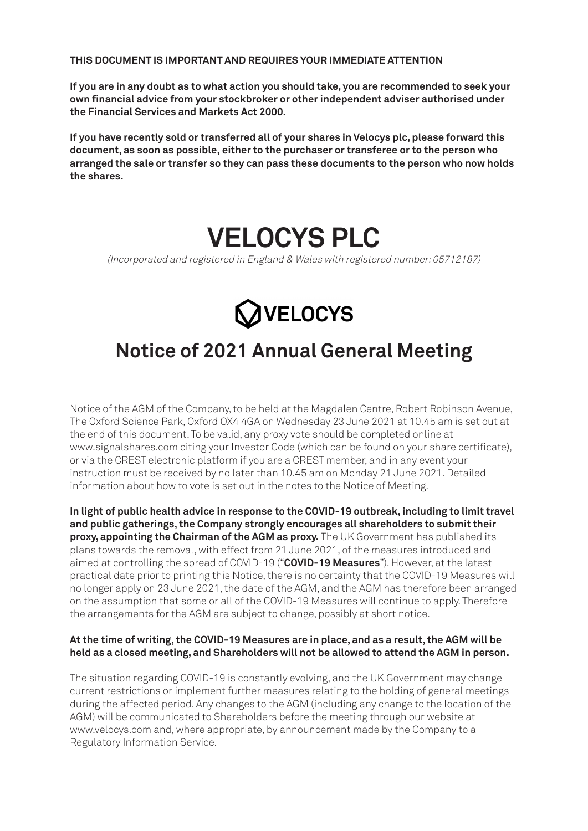**THIS DOCUMENT IS IMPORTANT AND REQUIRES YOUR IMMEDIATE ATTENTION**

**If you are in any doubt as to what action you should take, you are recommended to seek your own financial advice from your stockbroker or other independent adviser authorised under the Financial Services and Markets Act 2000.**

**If you have recently sold or transferred all of your shares in Velocys plc, please forward this document, as soon as possible, either to the purchaser or transferee or to the person who arranged the sale or transfer so they can pass these documents to the person who now holds the shares.**

# **VELOCYS PLC**

(Incorporated and registered in England & Wales with registered number: 05712187)



### **Notice of 2021 Annual General Meeting**

Notice of the AGM of the Company, to be held at the Magdalen Centre, Robert Robinson Avenue, The Oxford Science Park, Oxford OX4 4GA on Wednesday 23 June 2021 at 10.45 am is set out at the end of this document. To be valid, any proxy vote should be completed online at www.signalshares.com citing your Investor Code (which can be found on your share certificate), or via the CREST electronic platform if you are a CREST member, and in any event your instruction must be received by no later than 10.45 am on Monday 21 June 2021. Detailed information about how to vote is set out in the notes to the Notice of Meeting.

**In light of public health advice in response to the COVID-19 outbreak, including to limit travel and public gatherings, the Company strongly encourages all shareholders to submit their proxy, appointing the Chairman of the AGM as proxy.** The UK Government has published its plans towards the removal, with effect from 21 June 2021, of the measures introduced and aimed at controlling the spread of COVID-19 ("**COVID-19 Measures**"). However, at the latest practical date prior to printing this Notice, there is no certainty that the COVID-19 Measures will no longer apply on 23 June 2021, the date of the AGM, and the AGM has therefore been arranged on the assumption that some or all of the COVID-19 Measures will continue to apply. Therefore the arrangements for the AGM are subject to change, possibly at short notice.

#### **At the time of writing, the COVID-19 Measures are in place, and as a result, the AGM will be held as a closed meeting, and Shareholders will not be allowed to attend the AGM in person.**

The situation regarding COVID-19 is constantly evolving, and the UK Government may change current restrictions or implement further measures relating to the holding of general meetings during the affected period. Any changes to the AGM (including any change to the location of the AGM) will be communicated to Shareholders before the meeting through our website at www.velocys.com and, where appropriate, by announcement made by the Company to a Regulatory Information Service.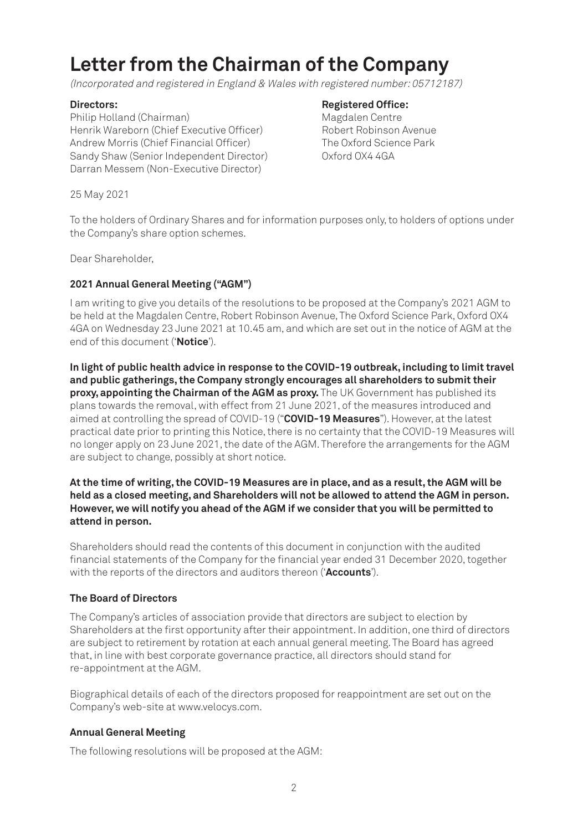## **Letter from the Chairman of the Company**

(Incorporated and registered in England & Wales with registered number: 05712187)

Philip Holland (Chairman) Magdalen Centre Henrik Wareborn (Chief Executive Officer) Robert Robinson Avenue Andrew Morris (Chief Financial Officer) The Oxford Science Park Sandy Shaw (Senior Independent Director) Oxford OX4 4GA Darran Messem (Non-Executive Director)

#### **Directors:** Registered Office:

25 May 2021

To the holders of Ordinary Shares and for information purposes only, to holders of options under the Company's share option schemes.

Dear Shareholder,

#### **2021 Annual General Meeting ("AGM")**

I am writing to give you details of the resolutions to be proposed at the Company's 2021 AGM to be held at the Magdalen Centre, Robert Robinson Avenue, The Oxford Science Park, Oxford OX4 4GA on Wednesday 23 June 2021 at 10.45 am, and which are set out in the notice of AGM at the end of this document ('**Notice**').

**In light of public health advice in response to the COVID-19 outbreak, including to limit travel and public gatherings, the Company strongly encourages all shareholders to submit their proxy, appointing the Chairman of the AGM as proxy.** The UK Government has published its plans towards the removal, with effect from 21 June 2021, of the measures introduced and aimed at controlling the spread of COVID-19 ("**COVID-19 Measures**"). However, at the latest practical date prior to printing this Notice, there is no certainty that the COVID-19 Measures will no longer apply on 23 June 2021, the date of the AGM. Therefore the arrangements for the AGM are subject to change, possibly at short notice.

**At the time of writing, the COVID-19 Measures are in place, and as a result, the AGM will be held as a closed meeting, and Shareholders will not be allowed to attend the AGM in person. However, we will notify you ahead of the AGM if we consider that you will be permitted to attend in person.** 

Shareholders should read the contents of this document in conjunction with the audited financial statements of the Company for the financial year ended 31 December 2020, together with the reports of the directors and auditors thereon ('**Accounts**').

#### **The Board of Directors**

The Company's articles of association provide that directors are subject to election by Shareholders at the first opportunity after their appointment. In addition, one third of directors are subject to retirement by rotation at each annual general meeting. The Board has agreed that, in line with best corporate governance practice, all directors should stand for re-appointment at the AGM.

Biographical details of each of the directors proposed for reappointment are set out on the Company's web-site at www.velocys.com.

#### **Annual General Meeting**

The following resolutions will be proposed at the AGM: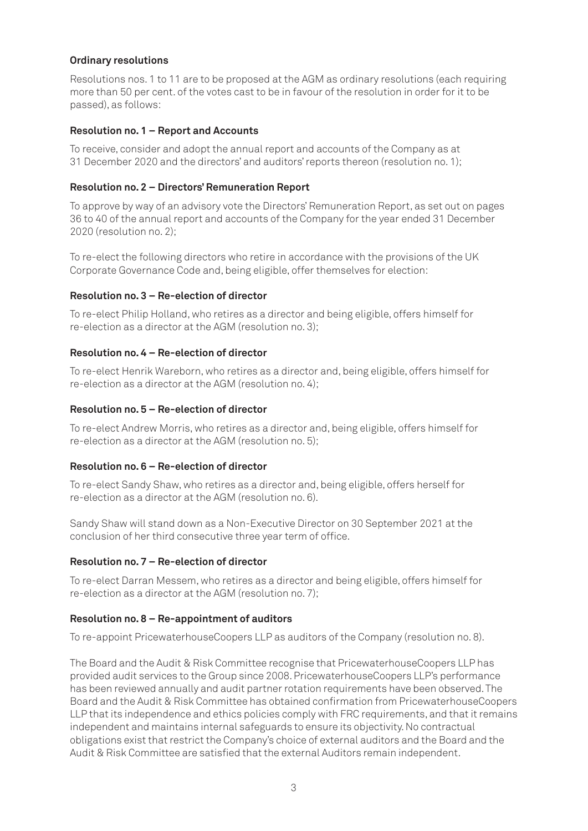#### **Ordinary resolutions**

Resolutions nos. 1 to 11 are to be proposed at the AGM as ordinary resolutions (each requiring more than 50 per cent. of the votes cast to be in favour of the resolution in order for it to be passed), as follows:

#### **Resolution no. 1 – Report and Accounts**

To receive, consider and adopt the annual report and accounts of the Company as at 31 December 2020 and the directors' and auditors' reports thereon (resolution no. 1);

#### **Resolution no. 2 – Directors' Remuneration Report**

To approve by way of an advisory vote the Directors' Remuneration Report, as set out on pages 36 to 40 of the annual report and accounts of the Company for the year ended 31 December 2020 (resolution no. 2);

To re-elect the following directors who retire in accordance with the provisions of the UK Corporate Governance Code and, being eligible, offer themselves for election:

#### **Resolution no. 3 – Re-election of director**

To re-elect Philip Holland, who retires as a director and being eligible, offers himself for re-election as a director at the AGM (resolution no. 3);

#### **Resolution no. 4 – Re-election of director**

To re-elect Henrik Wareborn, who retires as a director and, being eligible, offers himself for re-election as a director at the AGM (resolution no. 4);

#### **Resolution no. 5 – Re-election of director**

To re-elect Andrew Morris, who retires as a director and, being eligible, offers himself for re-election as a director at the AGM (resolution no. 5);

#### **Resolution no. 6 – Re-election of director**

To re-elect Sandy Shaw, who retires as a director and, being eligible, offers herself for re-election as a director at the AGM (resolution no. 6).

Sandy Shaw will stand down as a Non-Executive Director on 30 September 2021 at the conclusion of her third consecutive three year term of office.

#### **Resolution no. 7 – Re-election of director**

To re-elect Darran Messem, who retires as a director and being eligible, offers himself for re-election as a director at the AGM (resolution no. 7);

#### **Resolution no. 8 – Re-appointment of auditors**

To re-appoint PricewaterhouseCoopers LLP as auditors of the Company (resolution no. 8).

The Board and the Audit & Risk Committee recognise that PricewaterhouseCoopers LLP has provided audit services to the Group since 2008. PricewaterhouseCoopers LLP's performance has been reviewed annually and audit partner rotation requirements have been observed. The Board and the Audit & Risk Committee has obtained confirmation from PricewaterhouseCoopers LLP that its independence and ethics policies comply with FRC requirements, and that it remains independent and maintains internal safeguards to ensure its objectivity. No contractual obligations exist that restrict the Company's choice of external auditors and the Board and the Audit & Risk Committee are satisfied that the external Auditors remain independent.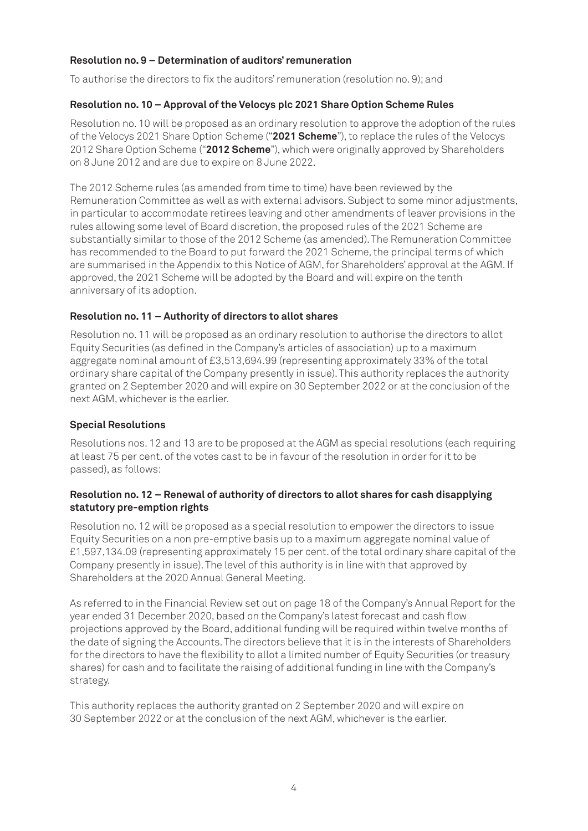#### **Resolution no. 9 – Determination of auditors' remuneration**

To authorise the directors to fix the auditors' remuneration (resolution no. 9); and

#### **Resolution no. 10 – Approval of the Velocys plc 2021 Share Option Scheme Rules**

Resolution no. 10 will be proposed as an ordinary resolution to approve the adoption of the rules of the Velocys 2021 Share Option Scheme ("**2021 Scheme**"), to replace the rules of the Velocys 2012 Share Option Scheme ("**2012 Scheme**"), which were originally approved by Shareholders on 8 June 2012 and are due to expire on 8 June 2022.

The 2012 Scheme rules (as amended from time to time) have been reviewed by the Remuneration Committee as well as with external advisors. Subject to some minor adjustments, in particular to accommodate retirees leaving and other amendments of leaver provisions in the rules allowing some level of Board discretion, the proposed rules of the 2021 Scheme are substantially similar to those of the 2012 Scheme (as amended). The Remuneration Committee has recommended to the Board to put forward the 2021 Scheme, the principal terms of which are summarised in the Appendix to this Notice of AGM, for Shareholders' approval at the AGM. If approved, the 2021 Scheme will be adopted by the Board and will expire on the tenth anniversary of its adoption.

#### **Resolution no. 11 – Authority of directors to allot shares**

Resolution no. 11 will be proposed as an ordinary resolution to authorise the directors to allot Equity Securities (as defined in the Company's articles of association) up to a maximum aggregate nominal amount of £3,513,694.99 (representing approximately 33% of the total ordinary share capital of the Company presently in issue). This authority replaces the authority granted on 2 September 2020 and will expire on 30 September 2022 or at the conclusion of the next AGM, whichever is the earlier.

#### **Special Resolutions**

Resolutions nos. 12 and 13 are to be proposed at the AGM as special resolutions (each requiring at least 75 per cent. of the votes cast to be in favour of the resolution in order for it to be passed), as follows:

#### **Resolution no. 12 – Renewal of authority of directors to allot shares for cash disapplying statutory pre-emption rights**

Resolution no. 12 will be proposed as a special resolution to empower the directors to issue Equity Securities on a non pre-emptive basis up to a maximum aggregate nominal value of £1,597,134.09 (representing approximately 15 per cent. of the total ordinary share capital of the Company presently in issue). The level of this authority is in line with that approved by Shareholders at the 2020 Annual General Meeting.

As referred to in the Financial Review set out on page 18 of the Company's Annual Report for the year ended 31 December 2020, based on the Company's latest forecast and cash flow projections approved by the Board, additional funding will be required within twelve months of the date of signing the Accounts. The directors believe that it is in the interests of Shareholders for the directors to have the flexibility to allot a limited number of Equity Securities (or treasury shares) for cash and to facilitate the raising of additional funding in line with the Company's strategy.

This authority replaces the authority granted on 2 September 2020 and will expire on 30 September 2022 or at the conclusion of the next AGM, whichever is the earlier.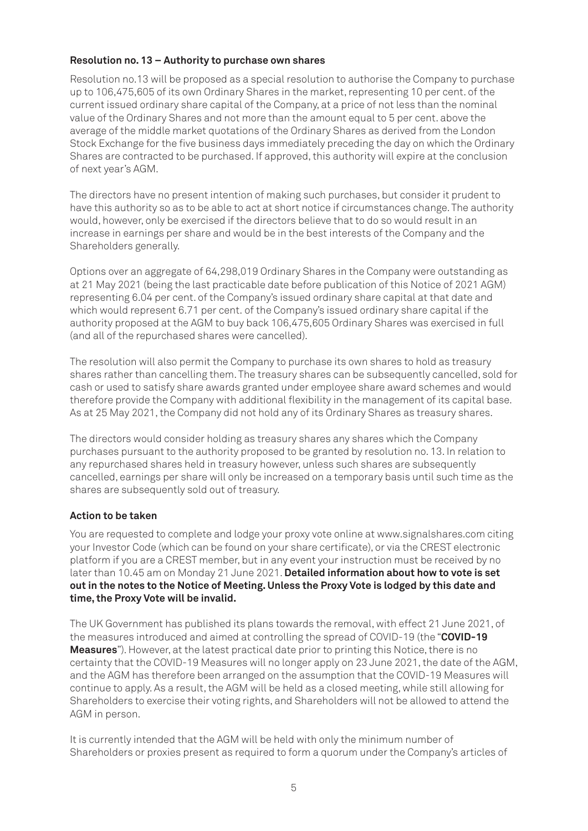#### **Resolution no. 13 – Authority to purchase own shares**

Resolution no.13 will be proposed as a special resolution to authorise the Company to purchase up to 106,475,605 of its own Ordinary Shares in the market, representing 10 per cent. of the current issued ordinary share capital of the Company, at a price of not less than the nominal value of the Ordinary Shares and not more than the amount equal to 5 per cent. above the average of the middle market quotations of the Ordinary Shares as derived from the London Stock Exchange for the five business days immediately preceding the day on which the Ordinary Shares are contracted to be purchased. If approved, this authority will expire at the conclusion of next year's AGM.

The directors have no present intention of making such purchases, but consider it prudent to have this authority so as to be able to act at short notice if circumstances change. The authority would, however, only be exercised if the directors believe that to do so would result in an increase in earnings per share and would be in the best interests of the Company and the Shareholders generally.

Options over an aggregate of 64,298,019 Ordinary Shares in the Company were outstanding as at 21 May 2021 (being the last practicable date before publication of this Notice of 2021 AGM) representing 6.04 per cent. of the Company's issued ordinary share capital at that date and which would represent 6.71 per cent. of the Company's issued ordinary share capital if the authority proposed at the AGM to buy back 106,475,605 Ordinary Shares was exercised in full (and all of the repurchased shares were cancelled).

The resolution will also permit the Company to purchase its own shares to hold as treasury shares rather than cancelling them. The treasury shares can be subsequently cancelled, sold for cash or used to satisfy share awards granted under employee share award schemes and would therefore provide the Company with additional flexibility in the management of its capital base. As at 25 May 2021, the Company did not hold any of its Ordinary Shares as treasury shares.

The directors would consider holding as treasury shares any shares which the Company purchases pursuant to the authority proposed to be granted by resolution no. 13. In relation to any repurchased shares held in treasury however, unless such shares are subsequently cancelled, earnings per share will only be increased on a temporary basis until such time as the shares are subsequently sold out of treasury.

### **Action to be taken**

You are requested to complete and lodge your proxy vote online at www.signalshares.com citing your Investor Code (which can be found on your share certificate), or via the CREST electronic platform if you are a CREST member, but in any event your instruction must be received by no later than 10.45 am on Monday 21 June 2021. **Detailed information about how to vote is set out in the notes to the Notice of Meeting. Unless the Proxy Vote is lodged by this date and time, the Proxy Vote will be invalid.**

The UK Government has published its plans towards the removal, with effect 21 June 2021, of the measures introduced and aimed at controlling the spread of COVID-19 (the "**COVID-19 Measures**"). However, at the latest practical date prior to printing this Notice, there is no certainty that the COVID-19 Measures will no longer apply on 23 June 2021, the date of the AGM, and the AGM has therefore been arranged on the assumption that the COVID-19 Measures will continue to apply. As a result, the AGM will be held as a closed meeting, while still allowing for Shareholders to exercise their voting rights, and Shareholders will not be allowed to attend the AGM in person.

It is currently intended that the AGM will be held with only the minimum number of Shareholders or proxies present as required to form a quorum under the Company's articles of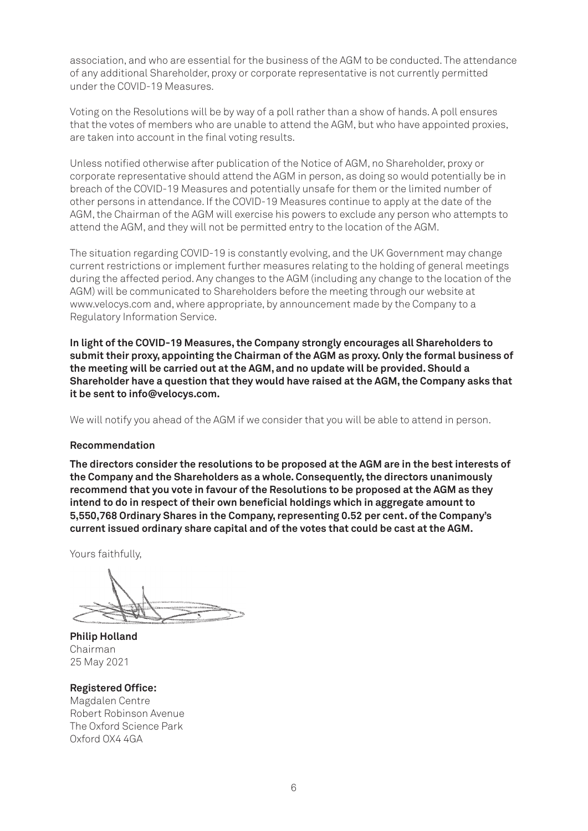association, and who are essential for the business of the AGM to be conducted. The attendance of any additional Shareholder, proxy or corporate representative is not currently permitted under the COVID-19 Measures.

Voting on the Resolutions will be by way of a poll rather than a show of hands. A poll ensures that the votes of members who are unable to attend the AGM, but who have appointed proxies, are taken into account in the final voting results.

Unless notified otherwise after publication of the Notice of AGM, no Shareholder, proxy or corporate representative should attend the AGM in person, as doing so would potentially be in breach of the COVID-19 Measures and potentially unsafe for them or the limited number of other persons in attendance. If the COVID-19 Measures continue to apply at the date of the AGM, the Chairman of the AGM will exercise his powers to exclude any person who attempts to attend the AGM, and they will not be permitted entry to the location of the AGM.

The situation regarding COVID-19 is constantly evolving, and the UK Government may change current restrictions or implement further measures relating to the holding of general meetings during the affected period. Any changes to the AGM (including any change to the location of the AGM) will be communicated to Shareholders before the meeting through our website at www.velocys.com and, where appropriate, by announcement made by the Company to a Regulatory Information Service.

**In light of the COVID-19 Measures, the Company strongly encourages all Shareholders to submit their proxy, appointing the Chairman of the AGM as proxy. Only the formal business of the meeting will be carried out at the AGM, and no update will be provided. Should a Shareholder have a question that they would have raised at the AGM, the Company asks that it be sent to info@velocys.com.**

We will notify you ahead of the AGM if we consider that you will be able to attend in person.

#### **Recommendation**

**The directors consider the resolutions to be proposed at the AGM are in the best interests of the Company and the Shareholders as a whole. Consequently, the directors unanimously recommend that you vote in favour of the Resolutions to be proposed at the AGM as they intend to do in respect of their own beneficial holdings which in aggregate amount to 5,550,768 Ordinary Shares in the Company, representing 0.52 per cent. of the Company's current issued ordinary share capital and of the votes that could be cast at the AGM.**

Yours faithfully,

**Philip Holland** Chairman 25 May 2021

**Registered Office:** Magdalen Centre Robert Robinson Avenue The Oxford Science Park Oxford OX4 4GA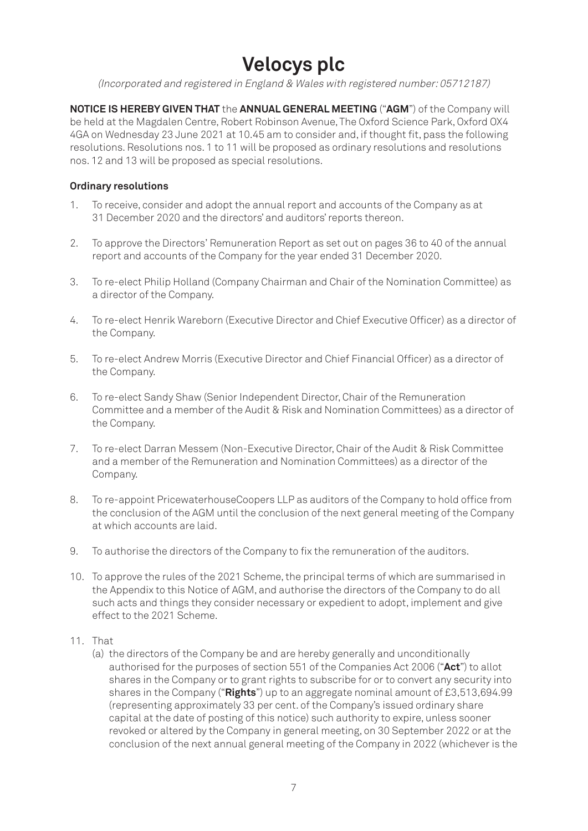### **Velocys plc**

(Incorporated and registered in England & Wales with registered number: 05712187)

**NOTICE IS HEREBY GIVEN THAT** the **ANNUAL GENERAL MEETING** ("**AGM**") of the Company will be held at the Magdalen Centre, Robert Robinson Avenue, The Oxford Science Park, Oxford OX4 4GA on Wednesday 23 June 2021 at 10.45 am to consider and, if thought fit, pass the following resolutions. Resolutions nos. 1 to 11 will be proposed as ordinary resolutions and resolutions nos. 12 and 13 will be proposed as special resolutions.

#### **Ordinary resolutions**

- 1. To receive, consider and adopt the annual report and accounts of the Company as at 31 December 2020 and the directors' and auditors' reports thereon.
- 2. To approve the Directors' Remuneration Report as set out on pages 36 to 40 of the annual report and accounts of the Company for the year ended 31 December 2020.
- 3. To re-elect Philip Holland (Company Chairman and Chair of the Nomination Committee) as a director of the Company.
- 4. To re-elect Henrik Wareborn (Executive Director and Chief Executive Officer) as a director of the Company.
- 5. To re-elect Andrew Morris (Executive Director and Chief Financial Officer) as a director of the Company.
- 6. To re-elect Sandy Shaw (Senior Independent Director, Chair of the Remuneration Committee and a member of the Audit & Risk and Nomination Committees) as a director of the Company.
- 7. To re-elect Darran Messem (Non-Executive Director, Chair of the Audit & Risk Committee and a member of the Remuneration and Nomination Committees) as a director of the Company.
- 8. To re-appoint PricewaterhouseCoopers LLP as auditors of the Company to hold office from the conclusion of the AGM until the conclusion of the next general meeting of the Company at which accounts are laid.
- 9. To authorise the directors of the Company to fix the remuneration of the auditors.
- 10. To approve the rules of the 2021 Scheme, the principal terms of which are summarised in the Appendix to this Notice of AGM, and authorise the directors of the Company to do all such acts and things they consider necessary or expedient to adopt, implement and give effect to the 2021 Scheme.
- 11. That
	- (a) the directors of the Company be and are hereby generally and unconditionally authorised for the purposes of section 551 of the Companies Act 2006 ("**Act**") to allot shares in the Company or to grant rights to subscribe for or to convert any security into shares in the Company ("**Rights**") up to an aggregate nominal amount of £3,513,694.99 (representing approximately 33 per cent. of the Company's issued ordinary share capital at the date of posting of this notice) such authority to expire, unless sooner revoked or altered by the Company in general meeting, on 30 September 2022 or at the conclusion of the next annual general meeting of the Company in 2022 (whichever is the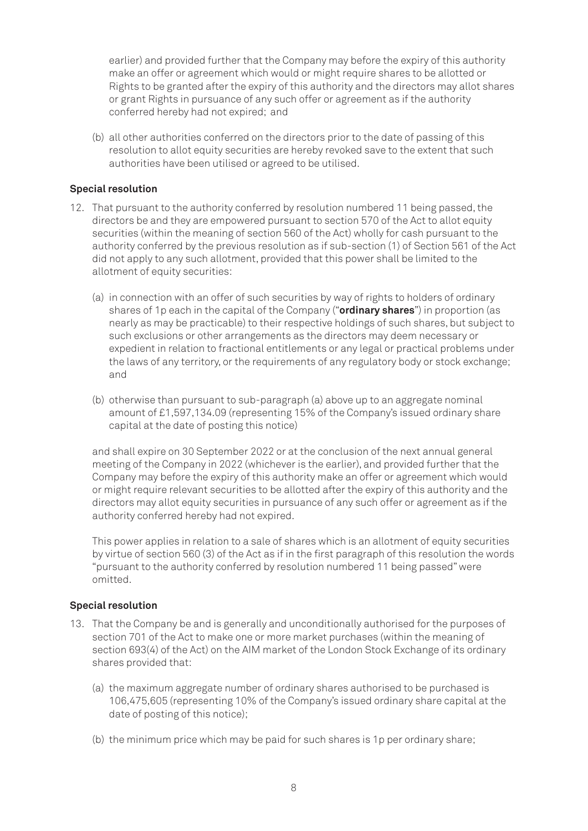earlier) and provided further that the Company may before the expiry of this authority make an offer or agreement which would or might require shares to be allotted or Rights to be granted after the expiry of this authority and the directors may allot shares or grant Rights in pursuance of any such offer or agreement as if the authority conferred hereby had not expired; and

(b) all other authorities conferred on the directors prior to the date of passing of this resolution to allot equity securities are hereby revoked save to the extent that such authorities have been utilised or agreed to be utilised.

#### **Special resolution**

- 12. That pursuant to the authority conferred by resolution numbered 11 being passed, the directors be and they are empowered pursuant to section 570 of the Act to allot equity securities (within the meaning of section 560 of the Act) wholly for cash pursuant to the authority conferred by the previous resolution as if sub-section (1) of Section 561 of the Act did not apply to any such allotment, provided that this power shall be limited to the allotment of equity securities:
	- (a) in connection with an offer of such securities by way of rights to holders of ordinary shares of 1p each in the capital of the Company ("**ordinary shares**") in proportion (as nearly as may be practicable) to their respective holdings of such shares, but subject to such exclusions or other arrangements as the directors may deem necessary or expedient in relation to fractional entitlements or any legal or practical problems under the laws of any territory, or the requirements of any regulatory body or stock exchange; and
	- (b) otherwise than pursuant to sub-paragraph (a) above up to an aggregate nominal amount of £1,597,134.09 (representing 15% of the Company's issued ordinary share capital at the date of posting this notice)

and shall expire on 30 September 2022 or at the conclusion of the next annual general meeting of the Company in 2022 (whichever is the earlier), and provided further that the Company may before the expiry of this authority make an offer or agreement which would or might require relevant securities to be allotted after the expiry of this authority and the directors may allot equity securities in pursuance of any such offer or agreement as if the authority conferred hereby had not expired.

This power applies in relation to a sale of shares which is an allotment of equity securities by virtue of section 560 (3) of the Act as if in the first paragraph of this resolution the words "pursuant to the authority conferred by resolution numbered 11 being passed" were omitted.

#### **Special resolution**

- 13. That the Company be and is generally and unconditionally authorised for the purposes of section 701 of the Act to make one or more market purchases (within the meaning of section 693(4) of the Act) on the AIM market of the London Stock Exchange of its ordinary shares provided that:
	- (a) the maximum aggregate number of ordinary shares authorised to be purchased is 106,475,605 (representing 10% of the Company's issued ordinary share capital at the date of posting of this notice);
	- (b) the minimum price which may be paid for such shares is 1p per ordinary share;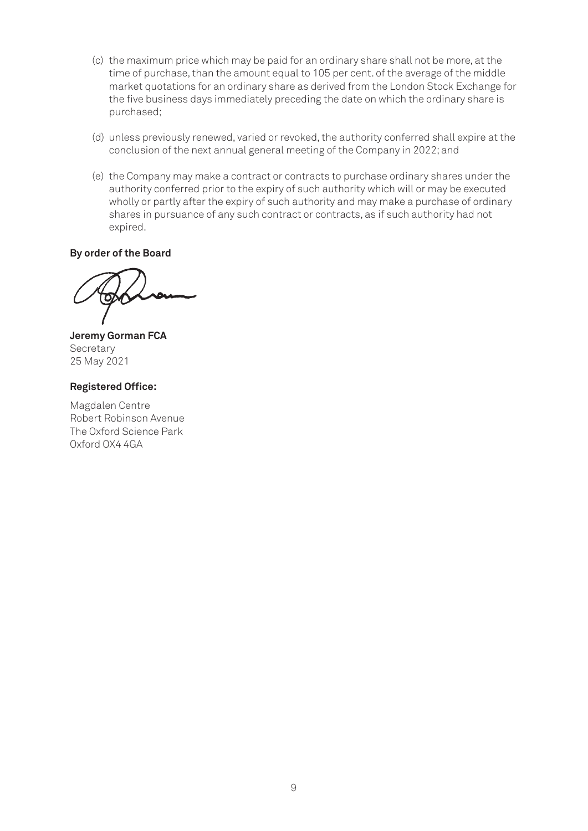- (c) the maximum price which may be paid for an ordinary share shall not be more, at the time of purchase, than the amount equal to 105 per cent. of the average of the middle market quotations for an ordinary share as derived from the London Stock Exchange for the five business days immediately preceding the date on which the ordinary share is purchased;
- (d) unless previously renewed, varied or revoked, the authority conferred shall expire at the conclusion of the next annual general meeting of the Company in 2022; and
- (e) the Company may make a contract or contracts to purchase ordinary shares under the authority conferred prior to the expiry of such authority which will or may be executed wholly or partly after the expiry of such authority and may make a purchase of ordinary shares in pursuance of any such contract or contracts, as if such authority had not expired.

**By order of the Board**

**Jeremy Gorman FCA Secretary** 25 May 2021

#### **Registered Office:**

Magdalen Centre Robert Robinson Avenue The Oxford Science Park Oxford OX4 4GA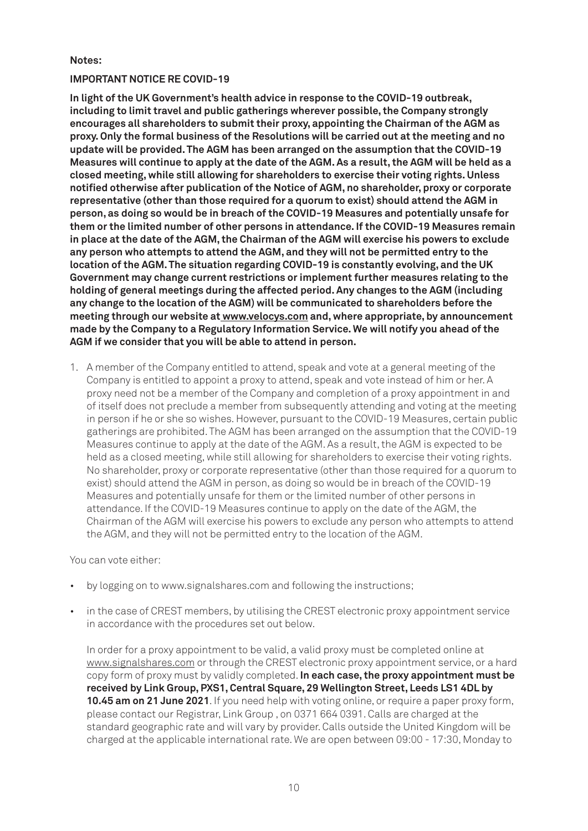#### **Notes:**

#### **IMPORTANT NOTICE RE COVID-19**

**In light of the UK Government's health advice in response to the COVID-19 outbreak, including to limit travel and public gatherings wherever possible, the Company strongly encourages all shareholders to submit their proxy, appointing the Chairman of the AGM as proxy. Only the formal business of the Resolutions will be carried out at the meeting and no update will be provided. The AGM has been arranged on the assumption that the COVID-19 Measures will continue to apply at the date of the AGM. As a result, the AGM will be held as a closed meeting, while still allowing for shareholders to exercise their voting rights. Unless notified otherwise after publication of the Notice of AGM, no shareholder, proxy or corporate representative (other than those required for a quorum to exist) should attend the AGM in person, as doing so would be in breach of the COVID-19 Measures and potentially unsafe for them or the limited number of other persons in attendance. If the COVID-19 Measures remain in place at the date of the AGM, the Chairman of the AGM will exercise his powers to exclude any person who attempts to attend the AGM, and they will not be permitted entry to the location of the AGM. The situation regarding COVID-19 is constantly evolving, and the UK Government may change current restrictions or implement further measures relating to the holding of general meetings during the affected period. Any changes to the AGM (including any change to the location of the AGM) will be communicated to shareholders before the meeting through our website at www.velocys.com and, where appropriate, by announcement made by the Company to a Regulatory Information Service. We will notify you ahead of the AGM if we consider that you will be able to attend in person.**

1. A member of the Company entitled to attend, speak and vote at a general meeting of the Company is entitled to appoint a proxy to attend, speak and vote instead of him or her. A proxy need not be a member of the Company and completion of a proxy appointment in and of itself does not preclude a member from subsequently attending and voting at the meeting in person if he or she so wishes. However, pursuant to the COVID-19 Measures, certain public gatherings are prohibited. The AGM has been arranged on the assumption that the COVID-19 Measures continue to apply at the date of the AGM. As a result, the AGM is expected to be held as a closed meeting, while still allowing for shareholders to exercise their voting rights. No shareholder, proxy or corporate representative (other than those required for a quorum to exist) should attend the AGM in person, as doing so would be in breach of the COVID-19 Measures and potentially unsafe for them or the limited number of other persons in attendance. If the COVID-19 Measures continue to apply on the date of the AGM, the Chairman of the AGM will exercise his powers to exclude any person who attempts to attend the AGM, and they will not be permitted entry to the location of the AGM.

You can vote either:

- by logging on to www.signalshares.com and following the instructions;
- in the case of CREST members, by utilising the CREST electronic proxy appointment service in accordance with the procedures set out below.

In order for a proxy appointment to be valid, a valid proxy must be completed online at www.signalshares.com or through the CREST electronic proxy appointment service, or a hard copy form of proxy must by validly completed. **In each case, the proxy appointment must be received by Link Group, PXS1, Central Square, 29 Wellington Street, Leeds LS1 4DL by 10.45 am on 21 June 2021**. If you need help with voting online, or require a paper proxy form, please contact our Registrar, Link Group , on 0371 664 0391. Calls are charged at the standard geographic rate and will vary by provider. Calls outside the United Kingdom will be charged at the applicable international rate. We are open between 09:00 - 17:30, Monday to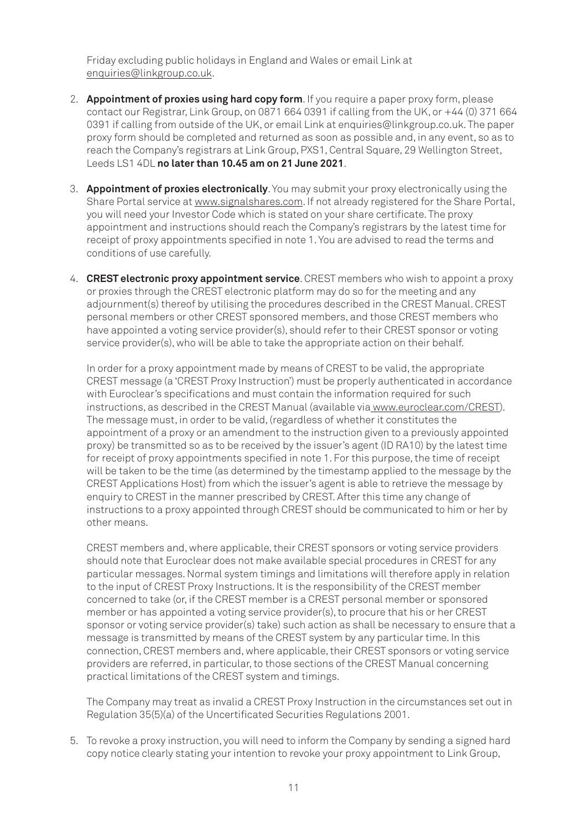Friday excluding public holidays in England and Wales or email Link at enquiries@linkgroup.co.uk.

- 2. **Appointment of proxies using hard copy form**. If you require a paper proxy form, please contact our Registrar, Link Group, on 0871 664 0391 if calling from the UK, or +44 (0) 371 664 0391 if calling from outside of the UK, or email Link at enquiries@linkgroup.co.uk. The paper proxy form should be completed and returned as soon as possible and, in any event, so as to reach the Company's registrars at Link Group, PXS1, Central Square, 29 Wellington Street, Leeds LS1 4DL **no later than 10.45 am on 21 June 2021**.
- 3. **Appointment of proxies electronically**. You may submit your proxy electronically using the Share Portal service at www.signalshares.com. If not already registered for the Share Portal, you will need your Investor Code which is stated on your share certificate. The proxy appointment and instructions should reach the Company's registrars by the latest time for receipt of proxy appointments specified in note 1. You are advised to read the terms and conditions of use carefully.
- 4. **CREST electronic proxy appointment service**. CREST members who wish to appoint a proxy or proxies through the CREST electronic platform may do so for the meeting and any adjournment(s) thereof by utilising the procedures described in the CREST Manual. CREST personal members or other CREST sponsored members, and those CREST members who have appointed a voting service provider(s), should refer to their CREST sponsor or voting service provider(s), who will be able to take the appropriate action on their behalf.

In order for a proxy appointment made by means of CREST to be valid, the appropriate CREST message (a 'CREST Proxy Instruction') must be properly authenticated in accordance with Euroclear's specifications and must contain the information required for such instructions, as described in the CREST Manual (available via www.euroclear.com/CREST). The message must, in order to be valid, (regardless of whether it constitutes the appointment of a proxy or an amendment to the instruction given to a previously appointed proxy) be transmitted so as to be received by the issuer's agent (ID RA10) by the latest time for receipt of proxy appointments specified in note 1. For this purpose, the time of receipt will be taken to be the time (as determined by the timestamp applied to the message by the CREST Applications Host) from which the issuer's agent is able to retrieve the message by enquiry to CREST in the manner prescribed by CREST. After this time any change of instructions to a proxy appointed through CREST should be communicated to him or her by other means.

CREST members and, where applicable, their CREST sponsors or voting service providers should note that Euroclear does not make available special procedures in CREST for any particular messages. Normal system timings and limitations will therefore apply in relation to the input of CREST Proxy Instructions. It is the responsibility of the CREST member concerned to take (or, if the CREST member is a CREST personal member or sponsored member or has appointed a voting service provider(s), to procure that his or her CREST sponsor or voting service provider(s) take) such action as shall be necessary to ensure that a message is transmitted by means of the CREST system by any particular time. In this connection, CREST members and, where applicable, their CREST sponsors or voting service providers are referred, in particular, to those sections of the CREST Manual concerning practical limitations of the CREST system and timings.

The Company may treat as invalid a CREST Proxy Instruction in the circumstances set out in Regulation 35(5)(a) of the Uncertificated Securities Regulations 2001.

5. To revoke a proxy instruction, you will need to inform the Company by sending a signed hard copy notice clearly stating your intention to revoke your proxy appointment to Link Group,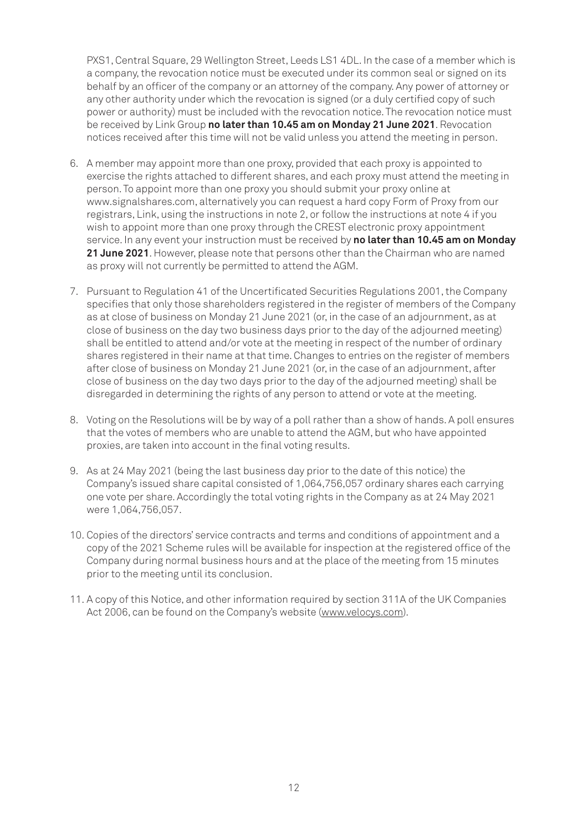PXS1, Central Square, 29 Wellington Street, Leeds LS1 4DL. In the case of a member which is a company, the revocation notice must be executed under its common seal or signed on its behalf by an officer of the company or an attorney of the company. Any power of attorney or any other authority under which the revocation is signed (or a duly certified copy of such power or authority) must be included with the revocation notice. The revocation notice must be received by Link Group **no later than 10.45 am on Monday 21 June 2021**. Revocation notices received after this time will not be valid unless you attend the meeting in person.

- 6. A member may appoint more than one proxy, provided that each proxy is appointed to exercise the rights attached to different shares, and each proxy must attend the meeting in person. To appoint more than one proxy you should submit your proxy online at www.signalshares.com, alternatively you can request a hard copy Form of Proxy from our registrars, Link, using the instructions in note 2, or follow the instructions at note 4 if you wish to appoint more than one proxy through the CREST electronic proxy appointment service. In any event your instruction must be received by **no later than 10.45 am on Monday 21 June 2021**. However, please note that persons other than the Chairman who are named as proxy will not currently be permitted to attend the AGM.
- 7. Pursuant to Regulation 41 of the Uncertificated Securities Regulations 2001, the Company specifies that only those shareholders registered in the register of members of the Company as at close of business on Monday 21 June 2021 (or, in the case of an adjournment, as at close of business on the day two business days prior to the day of the adjourned meeting) shall be entitled to attend and/or vote at the meeting in respect of the number of ordinary shares registered in their name at that time. Changes to entries on the register of members after close of business on Monday 21 June 2021 (or, in the case of an adjournment, after close of business on the day two days prior to the day of the adjourned meeting) shall be disregarded in determining the rights of any person to attend or vote at the meeting.
- 8. Voting on the Resolutions will be by way of a poll rather than a show of hands. A poll ensures that the votes of members who are unable to attend the AGM, but who have appointed proxies, are taken into account in the final voting results.
- 9. As at 24 May 2021 (being the last business day prior to the date of this notice) the Company's issued share capital consisted of 1,064,756,057 ordinary shares each carrying one vote per share. Accordingly the total voting rights in the Company as at 24 May 2021 were 1,064,756,057.
- 10. Copies of the directors' service contracts and terms and conditions of appointment and a copy of the 2021 Scheme rules will be available for inspection at the registered office of the Company during normal business hours and at the place of the meeting from 15 minutes prior to the meeting until its conclusion.
- 11. A copy of this Notice, and other information required by section 311A of the UK Companies Act 2006, can be found on the Company's website (www.velocys.com).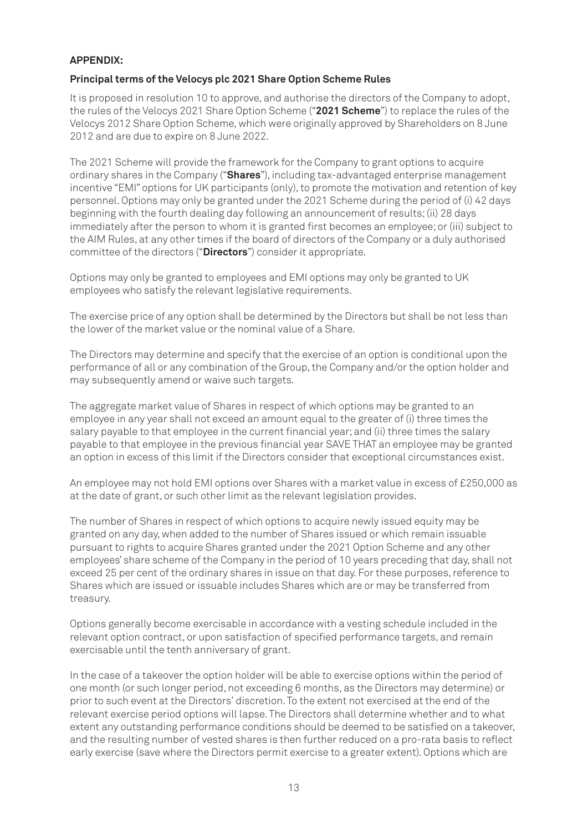#### **APPENDIX:**

#### **Principal terms of the Velocys plc 2021 Share Option Scheme Rules**

It is proposed in resolution 10 to approve, and authorise the directors of the Company to adopt, the rules of the Velocys 2021 Share Option Scheme ("**2021 Scheme**") to replace the rules of the Velocys 2012 Share Option Scheme, which were originally approved by Shareholders on 8 June 2012 and are due to expire on 8 June 2022.

The 2021 Scheme will provide the framework for the Company to grant options to acquire ordinary shares in the Company ("**Shares**"), including tax-advantaged enterprise management incentive "EMI" options for UK participants (only), to promote the motivation and retention of key personnel. Options may only be granted under the 2021 Scheme during the period of (i) 42 days beginning with the fourth dealing day following an announcement of results; (ii) 28 days immediately after the person to whom it is granted first becomes an employee; or (iii) subject to the AIM Rules, at any other times if the board of directors of the Company or a duly authorised committee of the directors ("**Directors**") consider it appropriate.

Options may only be granted to employees and EMI options may only be granted to UK employees who satisfy the relevant legislative requirements.

The exercise price of any option shall be determined by the Directors but shall be not less than the lower of the market value or the nominal value of a Share.

The Directors may determine and specify that the exercise of an option is conditional upon the performance of all or any combination of the Group, the Company and/or the option holder and may subsequently amend or waive such targets.

The aggregate market value of Shares in respect of which options may be granted to an employee in any year shall not exceed an amount equal to the greater of (i) three times the salary payable to that employee in the current financial year; and (ii) three times the salary payable to that employee in the previous financial year SAVE THAT an employee may be granted an option in excess of this limit if the Directors consider that exceptional circumstances exist.

An employee may not hold EMI options over Shares with a market value in excess of £250,000 as at the date of grant, or such other limit as the relevant legislation provides.

The number of Shares in respect of which options to acquire newly issued equity may be granted on any day, when added to the number of Shares issued or which remain issuable pursuant to rights to acquire Shares granted under the 2021 Option Scheme and any other employees' share scheme of the Company in the period of 10 years preceding that day, shall not exceed 25 per cent of the ordinary shares in issue on that day. For these purposes, reference to Shares which are issued or issuable includes Shares which are or may be transferred from treasury.

Options generally become exercisable in accordance with a vesting schedule included in the relevant option contract, or upon satisfaction of specified performance targets, and remain exercisable until the tenth anniversary of grant.

In the case of a takeover the option holder will be able to exercise options within the period of one month (or such longer period, not exceeding 6 months, as the Directors may determine) or prior to such event at the Directors' discretion. To the extent not exercised at the end of the relevant exercise period options will lapse. The Directors shall determine whether and to what extent any outstanding performance conditions should be deemed to be satisfied on a takeover, and the resulting number of vested shares is then further reduced on a pro-rata basis to reflect early exercise (save where the Directors permit exercise to a greater extent). Options which are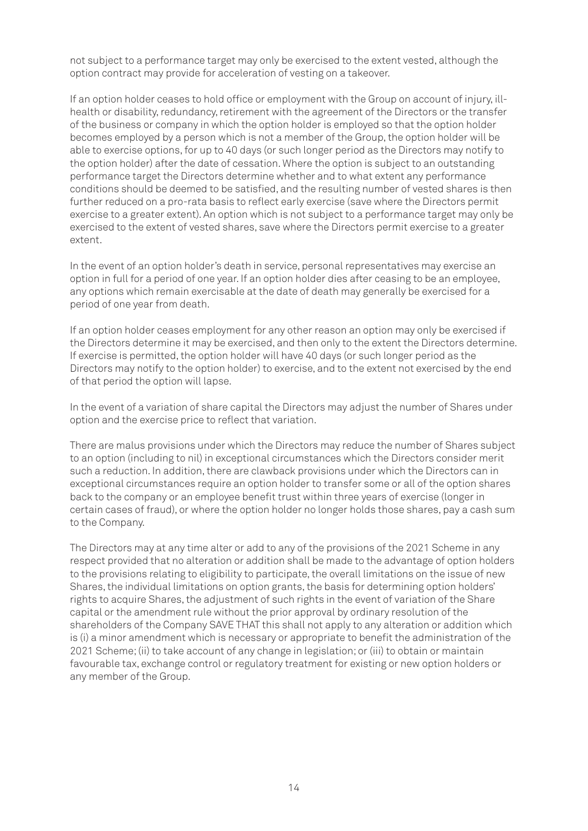not subject to a performance target may only be exercised to the extent vested, although the option contract may provide for acceleration of vesting on a takeover.

If an option holder ceases to hold office or employment with the Group on account of injury, illhealth or disability, redundancy, retirement with the agreement of the Directors or the transfer of the business or company in which the option holder is employed so that the option holder becomes employed by a person which is not a member of the Group, the option holder will be able to exercise options, for up to 40 days (or such longer period as the Directors may notify to the option holder) after the date of cessation. Where the option is subject to an outstanding performance target the Directors determine whether and to what extent any performance conditions should be deemed to be satisfied, and the resulting number of vested shares is then further reduced on a pro-rata basis to reflect early exercise (save where the Directors permit exercise to a greater extent). An option which is not subject to a performance target may only be exercised to the extent of vested shares, save where the Directors permit exercise to a greater extent.

In the event of an option holder's death in service, personal representatives may exercise an option in full for a period of one year. If an option holder dies after ceasing to be an employee, any options which remain exercisable at the date of death may generally be exercised for a period of one year from death.

If an option holder ceases employment for any other reason an option may only be exercised if the Directors determine it may be exercised, and then only to the extent the Directors determine. If exercise is permitted, the option holder will have 40 days (or such longer period as the Directors may notify to the option holder) to exercise, and to the extent not exercised by the end of that period the option will lapse.

In the event of a variation of share capital the Directors may adjust the number of Shares under option and the exercise price to reflect that variation.

There are malus provisions under which the Directors may reduce the number of Shares subject to an option (including to nil) in exceptional circumstances which the Directors consider merit such a reduction. In addition, there are clawback provisions under which the Directors can in exceptional circumstances require an option holder to transfer some or all of the option shares back to the company or an employee benefit trust within three years of exercise (longer in certain cases of fraud), or where the option holder no longer holds those shares, pay a cash sum to the Company.

The Directors may at any time alter or add to any of the provisions of the 2021 Scheme in any respect provided that no alteration or addition shall be made to the advantage of option holders to the provisions relating to eligibility to participate, the overall limitations on the issue of new Shares, the individual limitations on option grants, the basis for determining option holders' rights to acquire Shares, the adjustment of such rights in the event of variation of the Share capital or the amendment rule without the prior approval by ordinary resolution of the shareholders of the Company SAVE THAT this shall not apply to any alteration or addition which is (i) a minor amendment which is necessary or appropriate to benefit the administration of the 2021 Scheme; (ii) to take account of any change in legislation; or (iii) to obtain or maintain favourable tax, exchange control or regulatory treatment for existing or new option holders or any member of the Group.